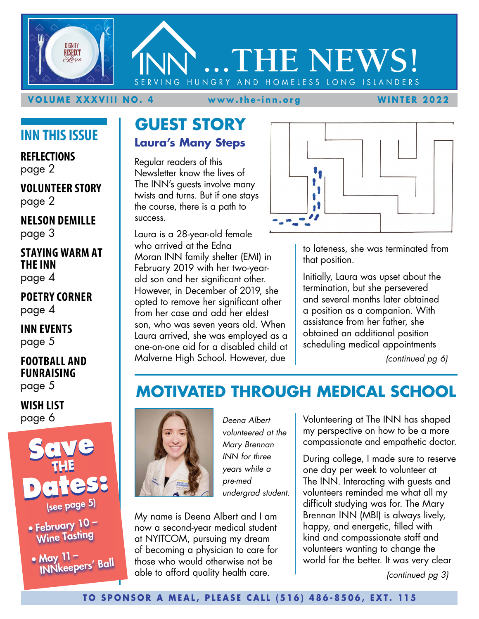**VOLUME XXXVIII NO. 4 www.the-inn.org WINTER 2022**

**...THE NEWS!**

ING HUNGRY AND HOMELESS LONG ISLANDERS

# **INN THIS ISSUE**

**DIGNITY RESPECT** 

**REFLECTIONS** page 2

#### **VOLUNTEER STORY** page 2

**NELSON DEMILLE** page 3

### **STAYING WARM AT THE INN** page 4

**POETRY CORNER** page 4

**INN EVENTS** page 5

**FOOTBALL AND FUNRAISING**  page 5

**WISH LIST** page 6



• February 10 – Wine Tasting

• May 11 –<br>|INNkeepers' Ball

### **GUEST STORY Laura's Many Steps**

Regular readers of this Newsletter know the lives of The INN's guests involve many twists and turns. But if one stays the course, there is a path to success.

Laura is a 28-year-old female who arrived at the Edna Moran INN family shelter (EMI) in February 2019 with her two-yearold son and her significant other. However, in December of 2019, she opted to remove her significant other from her case and add her eldest son, who was seven years old. When Laura arrived, she was employed as a one-on-one aid for a disabled child at Malverne High School. However, due

 $\bullet$ 

to lateness, she was terminated from that position.

Initially, Laura was upset about the termination, but she persevered and several months later obtained a position as a companion. With assistance from her father, she obtained an additional position scheduling medical appointments

*(continued pg 6)*

# **MOTIVATED THROUGH MEDICAL SCHOOL**



*Deena Albert volunteered at the Mary Brennan INN for three years while a pre-med undergrad student.*

My name is Deena Albert and I am now a second-year medical student at NYITCOM, pursuing my dream of becoming a physician to care for those who would otherwise not be able to afford quality health care.

Volunteering at The INN has shaped my perspective on how to be a more compassionate and empathetic doctor.

During college, I made sure to reserve one day per week to volunteer at The INN. Interacting with guests and volunteers reminded me what all my difficult studying was for. The Mary Brennan INN (MBI) is always lively, happy, and energetic, filled with kind and compassionate staff and volunteers wanting to change the world for the better. It was very clear

*(continued pg 3)*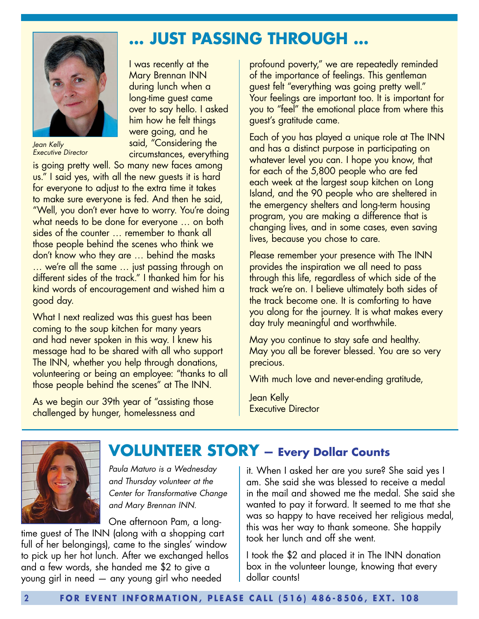

*Jean Kelly Executive Director* 

I was recently at the Mary Brennan INN during lunch when a long-time guest came over to say hello. I asked him how he felt things were going, and he said, "Considering the circumstances, everything

is going pretty well. So many new faces among us." I said yes, with all the new guests it is hard for everyone to adjust to the extra time it takes to make sure everyone is fed. And then he said, "Well, you don't ever have to worry. You're doing what needs to be done for everyone … on both sides of the counter … remember to thank all those people behind the scenes who think we don't know who they are … behind the masks … we're all the same … just passing through on different sides of the track." I thanked him for his kind words of encouragement and wished him a good day.

What I next realized was this guest has been coming to the soup kitchen for many years and had never spoken in this way. I knew his message had to be shared with all who support The INN, whether you help through donations, volunteering or being an employee: "thanks to all those people behind the scenes" at The INN.

As we begin our 39th year of "assisting those challenged by hunger, homelessness and

profound poverty," we are repeatedly reminded of the importance of feelings. This gentleman guest felt "everything was going pretty well." Your feelings are important too. It is important for you to "feel" the emotional place from where this guest's gratitude came.

Each of you has played a unique role at The INN and has a distinct purpose in participating on whatever level you can. I hope you know, that for each of the 5,800 people who are fed each week at the largest soup kitchen on Long Island, and the 90 people who are sheltered in the emergency shelters and long-term housing program, you are making a difference that is changing lives, and in some cases, even saving lives, because you chose to care.

Please remember your presence with The INN provides the inspiration we all need to pass through this life, regardless of which side of the track we're on. I believe ultimately both sides of the track become one. It is comforting to have you along for the journey. It is what makes every day truly meaningful and worthwhile.

May you continue to stay safe and healthy. May you all be forever blessed. You are so very precious.

With much love and never-ending gratitude,

Jean Kelly Executive Director



# **VOLUNTEER STORY — Every Dollar Counts**

**… JUST PASSING THROUGH …**

*Paula Maturo is a Wednesday and Thursday volunteer at the Center for Transformative Change and Mary Brennan INN.*

One afternoon Pam, a long-

time guest of The INN (along with a shopping cart full of her belongings), came to the singles' window to pick up her hot lunch. After we exchanged hellos and a few words, she handed me \$2 to give a young girl in need — any young girl who needed

it. When I asked her are you sure? She said yes I am. She said she was blessed to receive a medal in the mail and showed me the medal. She said she wanted to pay it forward. It seemed to me that she was so happy to have received her religious medal, this was her way to thank someone. She happily took her lunch and off she went.

I took the \$2 and placed it in The INN donation box in the volunteer lounge, knowing that every dollar counts!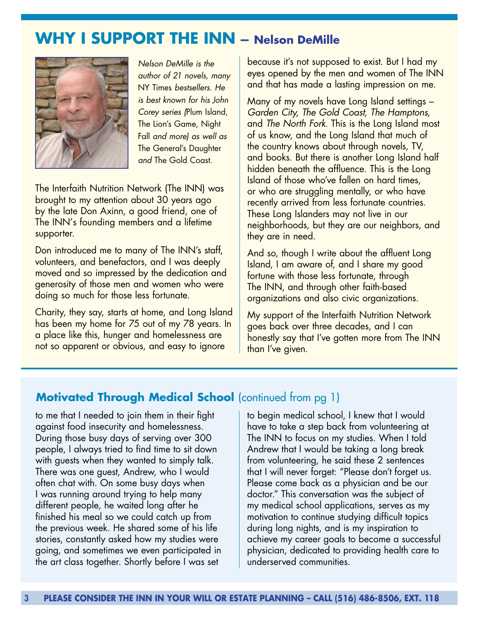# **WHY I SUPPORT THE INN — Nelson DeMille**



*Nelson DeMille is the author of 21 novels, many*  NY Times *bestsellers. He is best known for his John Corey series (*Plum Island, The Lion's Game, Night Fall *and more) as well as*  The General's Daughter *and* The Gold Coast*.*

The Interfaith Nutrition Network (The INN) was brought to my attention about 30 years ago by the late Don Axinn, a good friend, one of The INN's founding members and a lifetime supporter.

Don introduced me to many of The INN's staff, volunteers, and benefactors, and I was deeply moved and so impressed by the dedication and generosity of those men and women who were doing so much for those less fortunate.

Charity, they say, starts at home, and Long Island has been my home for 75 out of my 78 years. In a place like this, hunger and homelessness are not so apparent or obvious, and easy to ignore

because it's not supposed to exist. But I had my eyes opened by the men and women of The INN and that has made a lasting impression on me.

Many of my novels have Long Island settings – *Garden City, The Gold Coast, The Hamptons,*  and *The North Fork*. This is the Long Island most of us know, and the Long Island that much of the country knows about through novels, TV, and books. But there is another Long Island half hidden beneath the affluence. This is the Long Island of those who've fallen on hard times, or who are struggling mentally, or who have recently arrived from less fortunate countries. These Long Islanders may not live in our neighborhoods, but they are our neighbors, and they are in need.

And so, though I write about the affluent Long Island, I am aware of, and I share my good fortune with those less fortunate, through The INN, and through other faith-based organizations and also civic organizations.

My support of the Interfaith Nutrition Network goes back over three decades, and I can honestly say that I've gotten more from The INN than I've given.

### **Motivated Through Medical School** (continued from pg 1)

to me that I needed to join them in their fight against food insecurity and homelessness. During those busy days of serving over 300 people, I always tried to find time to sit down with guests when they wanted to simply talk. There was one guest, Andrew, who I would often chat with. On some busy days when I was running around trying to help many different people, he waited long after he finished his meal so we could catch up from the previous week. He shared some of his life stories, constantly asked how my studies were going, and sometimes we even participated in the art class together. Shortly before I was set

to begin medical school, I knew that I would have to take a step back from volunteering at The INN to focus on my studies. When I told Andrew that I would be taking a long break from volunteering, he said these 2 sentences that I will never forget: "Please don't forget us. Please come back as a physician and be our doctor." This conversation was the subject of my medical school applications, serves as my motivation to continue studying difficult topics during long nights, and is my inspiration to achieve my career goals to become a successful physician, dedicated to providing health care to underserved communities.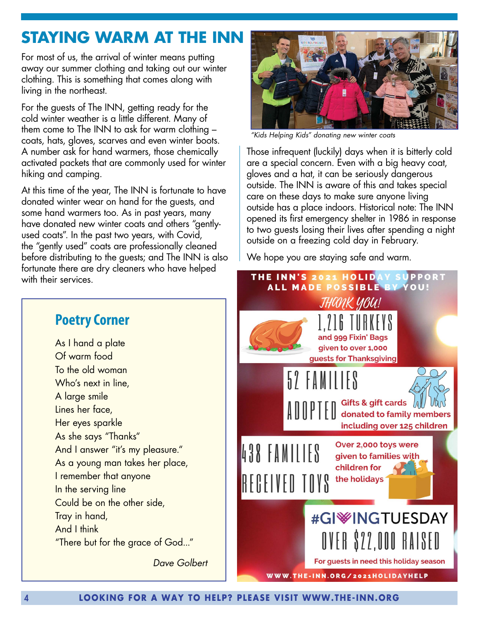# **STAYING WARM AT THE INN**

For most of us, the arrival of winter means putting away our summer clothing and taking out our winter clothing. This is something that comes along with living in the northeast.

For the guests of The INN, getting ready for the cold winter weather is a little different. Many of them come to The INN to ask for warm clothing – coats, hats, gloves, scarves and even winter boots. A number ask for hand warmers, those chemically activated packets that are commonly used for winter hiking and camping.

At this time of the year, The INN is fortunate to have donated winter wear on hand for the guests, and some hand warmers too. As in past years, many have donated new winter coats and others "gentlyused coats". In the past two years, with Covid, the "gently used" coats are professionally cleaned before distributing to the guests; and The INN is also fortunate there are dry cleaners who have helped with their services.



*"Kids Helping Kids" donating new winter coats*

Those infrequent (luckily) days when it is bitterly cold are a special concern. Even with a big heavy coat, gloves and a hat, it can be seriously dangerous outside. The INN is aware of this and takes special care on these days to make sure anyone living outside has a place indoors. Historical note: The INN opened its first emergency shelter in 1986 in response to two guests losing their lives after spending a night outside on a freezing cold day in February.

We hope you are staying safe and warm.



### **Poetry Corner**

As I hand a plate Of warm food To the old woman Who's next in line, A large smile Lines her face, Her eyes sparkle As she says "Thanks" And I answer "it's my pleasure." As a young man takes her place, I remember that anyone In the serving line Could be on the other side, Tray in hand, And I think "There but for the grace of God..."

*Dave Golbert*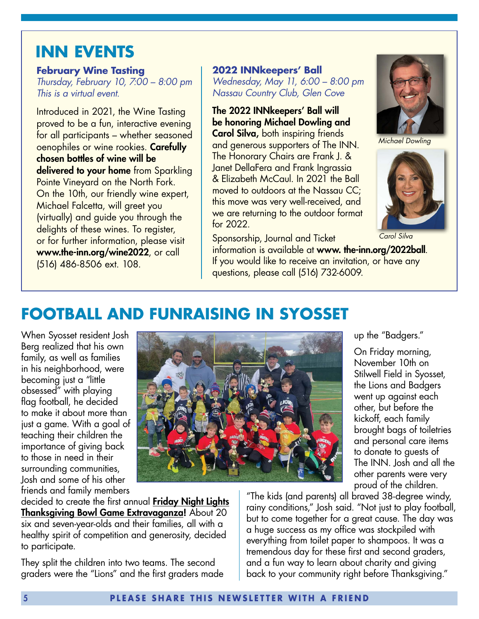# **INN EVENTS**

#### **February Wine Tasting**

*Thursday, February 10, 7:00 – 8:00 pm This is a virtual event.*

Introduced in 2021, the Wine Tasting proved to be a fun, interactive evening for all participants – whether seasoned oenophiles or wine rookies. Carefully chosen bottles of wine will be delivered to your home from Sparkling Pointe Vineyard on the North Fork. On the 10th, our friendly wine expert, Michael Falcetta, will greet you (virtually) and guide you through the delights of these wines. To register, or for further information, please visit www.the-inn.org/wine2022, or call (516) 486-8506 ext. 108.

**2022 INNkeepers' Ball** *Wednesday, May 11, 6:00 – 8:00 pm Nassau Country Club, Glen Cove*

The 2022 INNkeepers' Ball will be honoring Michael Dowling and

Carol Silva, both inspiring friends and generous supporters of The INN. The Honorary Chairs are Frank J. & Janet DellaFera and Frank Ingrassia & Elizabeth McCaul. In 2021 the Ball moved to outdoors at the Nassau CC; this move was very well-received, and we are returning to the outdoor format for 2022.



*Michael Dowling*



*Carol Silva*

up the "Badgers."

On Friday morning, November 10th on Stilwell Field in Syosset, the Lions and Badgers went up against each other, but before the kickoff, each family brought bags of toiletries and personal care items to donate to guests of The INN. Josh and all the other parents were very

Sponsorship, Journal and Ticket information is available at www. the-inn.org/2022ball. If you would like to receive an invitation, or have any questions, please call (516) 732-6009.

# **FOOTBALL AND FUNRAISING IN SYOSSET**

When Syosset resident Josh Berg realized that his own family, as well as families in his neighborhood, were becoming just a "little obsessed" with playing flag football, he decided to make it about more than just a game. With a goal of teaching their children the importance of giving back to those in need in their surrounding communities, Josh and some of his other friends and family members



decided to create the first annual **Friday Night Lights Thanksgiving Bowl Game Extravaganza!** About 20 six and seven-year-olds and their families, all with a healthy spirit of competition and generosity, decided to participate.

They split the children into two teams. The second graders were the "Lions" and the first graders made

proud of the children. "The kids (and parents) all braved 38-degree windy, rainy conditions," Josh said. "Not just to play football, but to come together for a great cause. The day was a huge success as my office was stockpiled with everything from toilet paper to shampoos. It was a tremendous day for these first and second graders, and a fun way to learn about charity and giving back to your community right before Thanksgiving."